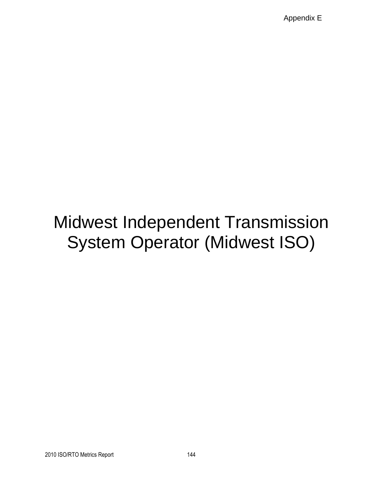Appendix E

# Midwest Independent Transmission System Operator (Midwest ISO)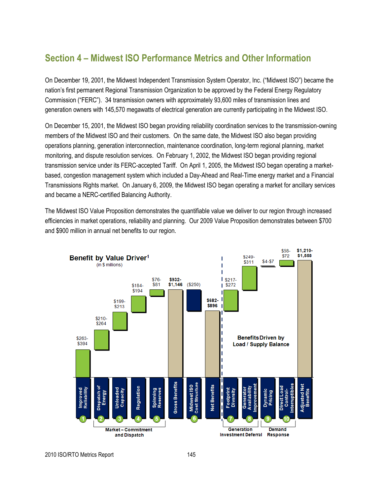## **Section 4 – Midwest ISO Performance Metrics and Other Information**

On December 19, 2001, the Midwest Independent Transmission System Operator, Inc. ("Midwest ISO") became the nation's first permanent Regional Transmission Organization to be approved by the Federal Energy Regulatory Commission ("FERC"). 34 transmission owners with approximately 93,600 miles of transmission lines and generation owners with 145,570 megawatts of electrical generation are currently participating in the Midwest ISO.

On December 15, 2001, the Midwest ISO began providing reliability coordination services to the transmission-owning members of the Midwest ISO and their customers. On the same date, the Midwest ISO also began providing operations planning, generation interconnection, maintenance coordination, long-term regional planning, market monitoring, and dispute resolution services. On February 1, 2002, the Midwest ISO began providing regional transmission service under its FERC-accepted Tariff. On April 1, 2005, the Midwest ISO began operating a marketbased, congestion management system which included a Day-Ahead and Real-Time energy market and a Financial Transmissions Rights market. On January 6, 2009, the Midwest ISO began operating a market for ancillary services and became a NERC-certified Balancing Authority.

The Midwest ISO Value Proposition demonstrates the quantifiable value we deliver to our region through increased efficiencies in market operations, reliability and planning. Our 2009 Value Proposition demonstrates between \$700 and \$900 million in annual net benefits to our region.



2010 ISO/RTO Metrics Report 145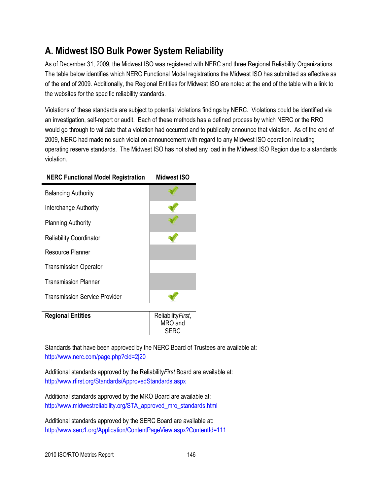## **A. Midwest ISO Bulk Power System Reliability**

As of December 31, 2009, the Midwest ISO was registered with NERC and three Regional Reliability Organizations. The table below identifies which NERC Functional Model registrations the Midwest ISO has submitted as effective as of the end of 2009. Additionally, the Regional Entities for Midwest ISO are noted at the end of the table with a link to the websites for the specific reliability standards.

Violations of these standards are subject to potential violations findings by NERC. Violations could be identified via an investigation, self-report or audit. Each of these methods has a defined process by which NERC or the RRO would go through to validate that a violation had occurred and to publically announce that violation. As of the end of 2009, NERC had made no such violation announcement with regard to any Midwest ISO operation including operating reserve standards. The Midwest ISO has not shed any load in the Midwest ISO Region due to a standards violation.

## **NERC Functional Model Registration Midwest ISO**

| <b>Balancing Authority</b>           |  |
|--------------------------------------|--|
| Interchange Authority                |  |
| <b>Planning Authority</b>            |  |
| <b>Reliability Coordinator</b>       |  |
| Resource Planner                     |  |
| <b>Transmission Operator</b>         |  |
| <b>Transmission Planner</b>          |  |
| <b>Transmission Service Provider</b> |  |
|                                      |  |

**Regional Entities** Reliability First,

MRO and **SERC** 

Standards that have been approved by the NERC Board of Trustees are available at: <http://www.nerc.com/page.php?cid=2|20>

Additional standards approved by the Reliability*First* Board are available at: <http://www.rfirst.org/Standards/ApprovedStandards.aspx>

Additional standards approved by the MRO Board are available at: [http://www.midwestreliability.org/STA\\_approved\\_mro\\_standards.html](http://www.midwestreliability.org/STA_approved_mro_standards.html)

Additional standards approved by the SERC Board are available at: <http://www.serc1.org/Application/ContentPageView.aspx?ContentId=111>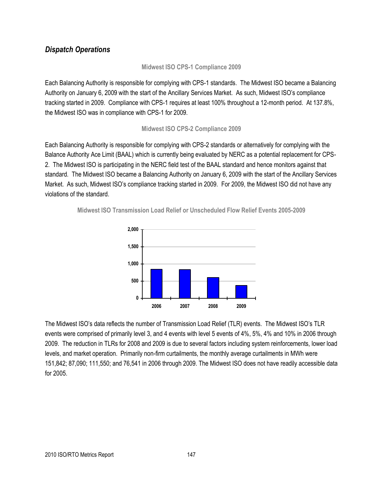## *Dispatch Operations*

### **Midwest ISO CPS-1 Compliance 2009**

Each Balancing Authority is responsible for complying with CPS-1 standards. The Midwest ISO became a Balancing Authority on January 6, 2009 with the start of the Ancillary Services Market. As such, Midwest ISO's compliance tracking started in 2009. Compliance with CPS-1 requires at least 100% throughout a 12-month period. At 137.8%, the Midwest ISO was in compliance with CPS-1 for 2009.

### **Midwest ISO CPS-2 Compliance 2009**

Each Balancing Authority is responsible for complying with CPS-2 standards or alternatively for complying with the Balance Authority Ace Limit (BAAL) which is currently being evaluated by NERC as a potential replacement for CPS-2. The Midwest ISO is participating in the NERC field test of the BAAL standard and hence monitors against that standard. The Midwest ISO became a Balancing Authority on January 6, 2009 with the start of the Ancillary Services Market. As such, Midwest ISO's compliance tracking started in 2009. For 2009, the Midwest ISO did not have any violations of the standard.





The Midwest ISO's data reflects the number of Transmission Load Relief (TLR) events. The Midwest ISO's TLR events were comprised of primarily level 3, and 4 events with level 5 events of 4%, 5%, 4% and 10% in 2006 through 2009. The reduction in TLRs for 2008 and 2009 is due to several factors including system reinforcements, lower load levels, and market operation. Primarily non-firm curtailments, the monthly average curtailments in MWh were 151,842; 87,090; 111,550; and 76,541 in 2006 through 2009. The Midwest ISO does not have readily accessible data for 2005.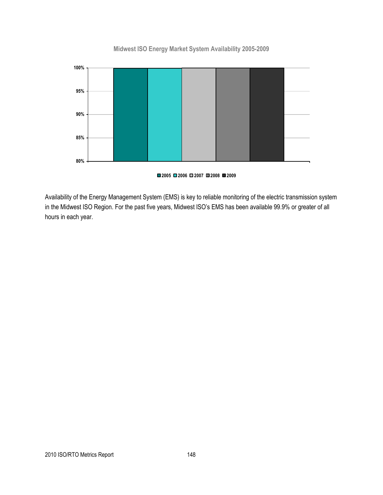**Midwest ISO Energy Market System Availability 2005-2009**



**2005 2006 2007 2008 2009**

Availability of the Energy Management System (EMS) is key to reliable monitoring of the electric transmission system in the Midwest ISO Region. For the past five years, Midwest ISO's EMS has been available 99.9% or greater of all hours in each year.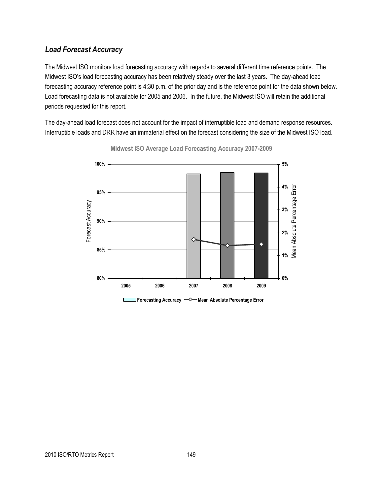## *Load Forecast Accuracy*

The Midwest ISO monitors load forecasting accuracy with regards to several different time reference points. The Midwest ISO's load forecasting accuracy has been relatively steady over the last 3 years. The day-ahead load forecasting accuracy reference point is 4:30 p.m. of the prior day and is the reference point for the data shown below. Load forecasting data is not available for 2005 and 2006. In the future, the Midwest ISO will retain the additional periods requested for this report.

The day-ahead load forecast does not account for the impact of interruptible load and demand response resources. Interruptible loads and DRR have an immaterial effect on the forecast considering the size of the Midwest ISO load.



**Midwest ISO Average Load Forecasting Accuracy 2007-2009**

**Forecasting Accuracy**  $\rightarrow$  **Mean Absolute Percentage Error**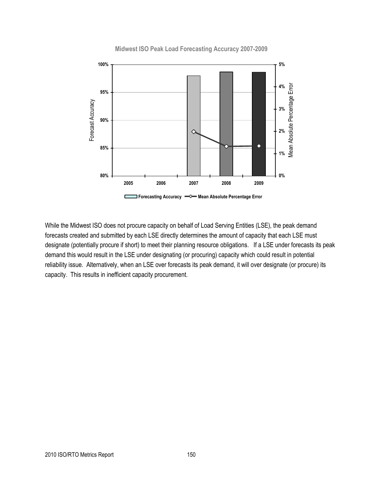

**Midwest ISO Peak Load Forecasting Accuracy 2007-2009**

While the Midwest ISO does not procure capacity on behalf of Load Serving Entities (LSE), the peak demand forecasts created and submitted by each LSE directly determines the amount of capacity that each LSE must designate (potentially procure if short) to meet their planning resource obligations. If a LSE under forecasts its peak demand this would result in the LSE under designating (or procuring) capacity which could result in potential reliability issue. Alternatively, when an LSE over forecasts its peak demand, it will over designate (or procure) its capacity. This results in inefficient capacity procurement.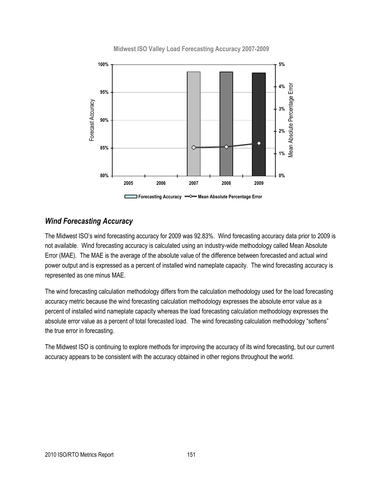

**Midwest ISO Valley Load Forecasting Accuracy 2007-2009**

## *Wind Forecasting Accuracy*

The Midwest ISO's wind forecasting accuracy for 2009 was 92.83%. Wind forecasting accuracy data prior to 2009 is not available. Wind forecasting accuracy is calculated using an industry-wide methodology called Mean Absolute Error (MAE). The MAE is the average of the absolute value of the difference between forecasted and actual wind power output and is expressed as a percent of installed wind nameplate capacity. The wind forecasting accuracy is represented as one minus MAE.

The wind forecasting calculation methodology differs from the calculation methodology used for the load forecasting accuracy metric because the wind forecasting calculation methodology expresses the absolute error value as a percent of installed wind nameplate capacity whereas the load forecasting calculation methodology expresses the absolute error value as a percent of total forecasted load. The wind forecasting calculation methodology "softens" the true error in forecasting.

The Midwest ISO is continuing to explore methods for improving the accuracy of its wind forecasting, but our current accuracy appears to be consistent with the accuracy obtained in other regions throughout the world.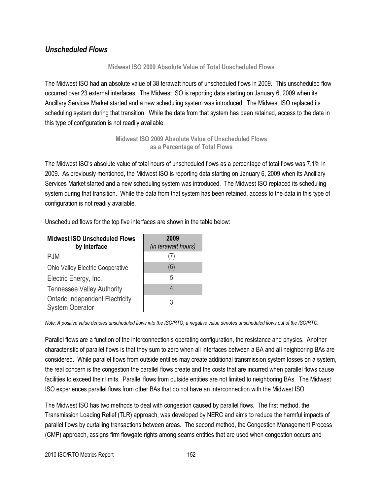## *Unscheduled Flows*

#### **Midwest ISO 2009 Absolute Value of Total Unscheduled Flows**

The Midwest ISO had an absolute value of 38 terawatt hours of unscheduled flows in 2009. This unscheduled flow occurred over 23 external interfaces. The Midwest ISO is reporting data starting on January 6, 2009 when its Ancillary Services Market started and a new scheduling system was introduced. The Midwest ISO replaced its scheduling system during that transition. While the data from that system has been retained, access to the data in this type of configuration is not readily available.

#### **Midwest ISO 2009 Absolute Value of Unscheduled Flows as a Percentage of Total Flows**

The Midwest ISO's absolute value of total hours of unscheduled flows as a percentage of total flows was 7.1% in 2009. As previously mentioned, the Midwest ISO is reporting data starting on January 6, 2009 when its Ancillary Services Market started and a new scheduling system was introduced. The Midwest ISO replaced its scheduling system during that transition. While the data from that system has been retained, access to the data in this type of configuration is not readily available.

Unscheduled flows for the top five interfaces are shown in the table below:

| <b>Midwest ISO Unscheduled Flows</b><br>by Interface             | 2009<br>(in terawatt hours) |  |  |
|------------------------------------------------------------------|-----------------------------|--|--|
| <b>PJM</b>                                                       | $($ $\prime$ $)$            |  |  |
| <b>Ohio Valley Electric Cooperative</b>                          | (6)                         |  |  |
| Electric Energy, Inc.                                            | 5                           |  |  |
| <b>Tennessee Valley Authority</b>                                |                             |  |  |
| <b>Ontario Independent Electricity</b><br><b>System Operator</b> | 3                           |  |  |

*Note: A positive value denotes unscheduled flows into the ISO/RTO; a negative value denotes unscheduled flows out of the ISO/RTO.*

Parallel flows are a function of the interconnection's operating configuration, the resistance and physics. Another characteristic of parallel flows is that they sum to zero when all interfaces between a BA and all neighboring BAs are considered. While parallel flows from outside entities may create additional transmission system losses on a system, the real concern is the congestion the parallel flows create and the costs that are incurred when parallel flows cause facilities to exceed their limits. Parallel flows from outside entities are not limited to neighboring BAs. The Midwest ISO experiences parallel flows from other BAs that do not have an interconnection with the Midwest ISO.

The Midwest ISO has two methods to deal with congestion caused by parallel flows. The first method, the Transmission Loading Relief (TLR) approach, was developed by NERC and aims to reduce the harmful impacts of parallel flows by curtailing transactions between areas. The second method, the Congestion Management Process (CMP) approach, assigns firm flowgate rights among seams entities that are used when congestion occurs and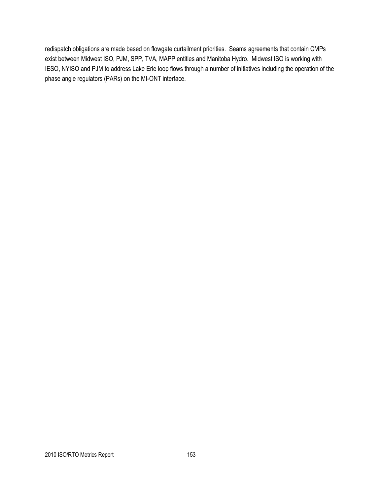redispatch obligations are made based on flowgate curtailment priorities. Seams agreements that contain CMPs exist between Midwest ISO, PJM, SPP, TVA, MAPP entities and Manitoba Hydro. Midwest ISO is working with IESO, NYISO and PJM to address Lake Erie loop flows through a number of initiatives including the operation of the phase angle regulators (PARs) on the MI-ONT interface.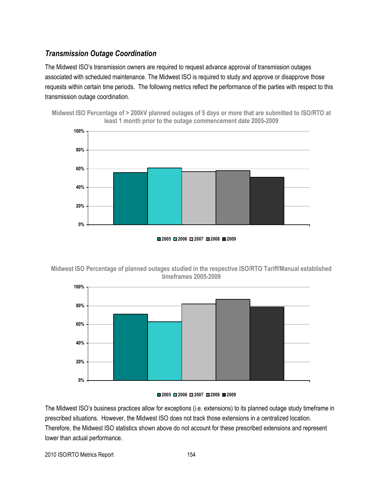## *Transmission Outage Coordination*

The Midwest ISO's transmission owners are required to request advance approval of transmission outages associated with scheduled maintenance. The Midwest ISO is required to study and approve or disapprove those requests within certain time periods. The following metrics reflect the performance of the parties with respect to this transmission outage coordination.







**Midwest ISO Percentage of planned outages studied in the respective ISO/RTO Tariff/Manual established timeframes 2005-2009**





The Midwest ISO's business practices allow for exceptions (i.e. extensions) to its planned outage study timeframe in prescribed situations. However, the Midwest ISO does not track those extensions in a centralized location. Therefore, the Midwest ISO statistics shown above do not account for these prescribed extensions and represent lower than actual performance.

2010 ISO/RTO Metrics Report 154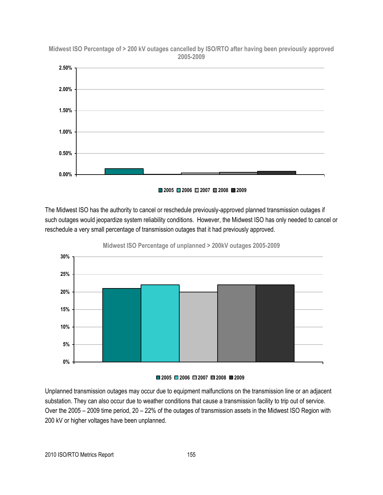

**Midwest ISO Percentage of > 200 kV outages cancelled by ISO/RTO after having been previously approved 2005-2009**

**2005 2006 2007 2008 2009**

The Midwest ISO has the authority to cancel or reschedule previously-approved planned transmission outages if such outages would jeopardize system reliability conditions. However, the Midwest ISO has only needed to cancel or reschedule a very small percentage of transmission outages that it had previously approved.



**Midwest ISO Percentage of unplanned > 200kV outages 2005-2009**

#### **2005 2006 2007 2008 2009**

Unplanned transmission outages may occur due to equipment malfunctions on the transmission line or an adjacent substation. They can also occur due to weather conditions that cause a transmission facility to trip out of service. Over the 2005 – 2009 time period, 20 – 22% of the outages of transmission assets in the Midwest ISO Region with 200 kV or higher voltages have been unplanned.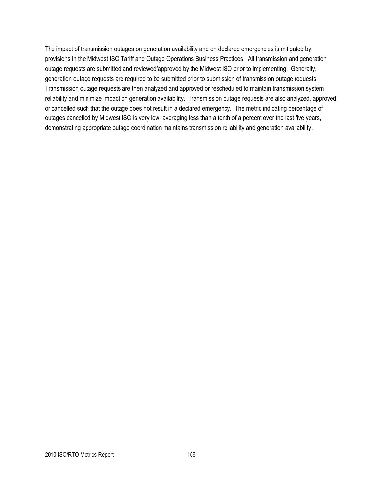The impact of transmission outages on generation availability and on declared emergencies is mitigated by provisions in the Midwest ISO Tariff and Outage Operations Business Practices. All transmission and generation outage requests are submitted and reviewed/approved by the Midwest ISO prior to implementing. Generally, generation outage requests are required to be submitted prior to submission of transmission outage requests. Transmission outage requests are then analyzed and approved or rescheduled to maintain transmission system reliability and minimize impact on generation availability. Transmission outage requests are also analyzed, approved or cancelled such that the outage does not result in a declared emergency. The metric indicating percentage of outages cancelled by Midwest ISO is very low, averaging less than a tenth of a percent over the last five years, demonstrating appropriate outage coordination maintains transmission reliability and generation availability.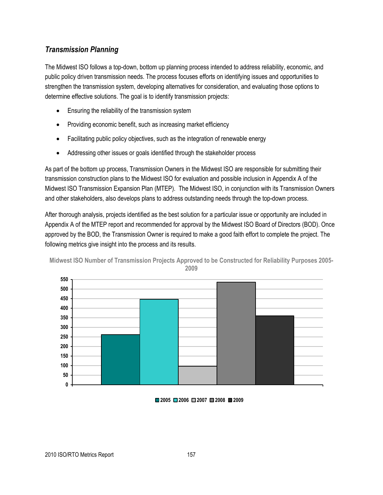## *Transmission Planning*

The Midwest ISO follows a top-down, bottom up planning process intended to address reliability, economic, and public policy driven transmission needs. The process focuses efforts on identifying issues and opportunities to strengthen the transmission system, developing alternatives for consideration, and evaluating those options to determine effective solutions. The goal is to identify transmission projects:

- **Ensuring the reliability of the transmission system**
- Providing economic benefit, such as increasing market efficiency
- Facilitating public policy objectives, such as the integration of renewable energy
- Addressing other issues or goals identified through the stakeholder process

As part of the bottom up process, Transmission Owners in the Midwest ISO are responsible for submitting their transmission construction plans to the Midwest ISO for evaluation and possible inclusion in Appendix A of the Midwest ISO Transmission Expansion Plan (MTEP). The Midwest ISO, in conjunction with its Transmission Owners and other stakeholders, also develops plans to address outstanding needs through the top-down process.

After thorough analysis, projects identified as the best solution for a particular issue or opportunity are included in Appendix A of the MTEP report and recommended for approval by the Midwest ISO Board of Directors (BOD). Once approved by the BOD, the Transmission Owner is required to make a good faith effort to complete the project. The following metrics give insight into the process and its results.



**Midwest ISO Number of Transmission Projects Approved to be Constructed for Reliability Purposes 2005- 2009**

**2005 2006 2007 2008 2009**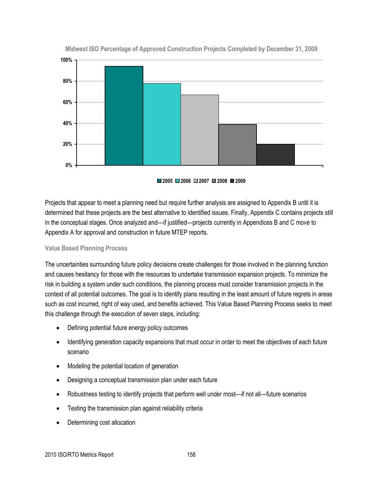

**Midwest ISO Percentage of Approved Construction Projects Completed by December 31, 2009**



Projects that appear to meet a planning need but require further analysis are assigned to Appendix B until it is determined that these projects are the best alternative to identified issues. Finally, Appendix C contains projects still in the conceptual stages. Once analyzed and—if justified—projects currently in Appendices B and C move to Appendix A for approval and construction in future MTEP reports.

#### **Value Based Planning Process**

The uncertainties surrounding future policy decisions create challenges for those involved in the planning function and causes hesitancy for those with the resources to undertake transmission expansion projects. To minimize the risk in building a system under such conditions, the planning process must consider transmission projects in the context of all potential outcomes. The goal is to identify plans resulting in the least amount of future regrets in areas such as cost incurred, right of way used, and benefits achieved. This Value Based Planning Process seeks to meet this challenge through the execution of seven steps, including:

- Defining potential future energy policy outcomes
- Identifying generation capacity expansions that must occur in order to meet the objectives of each future scenario
- Modeling the potential location of generation
- Designing a conceptual transmission plan under each future
- Robustness testing to identify projects that perform well under most—if not all—future scenarios
- Testing the transmission plan against reliability criteria
- Determining cost allocation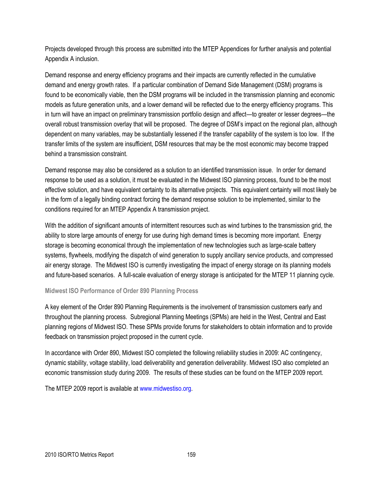Projects developed through this process are submitted into the MTEP Appendices for further analysis and potential Appendix A inclusion.

Demand response and energy efficiency programs and their impacts are currently reflected in the cumulative demand and energy growth rates. If a particular combination of Demand Side Management (DSM) programs is found to be economically viable, then the DSM programs will be included in the transmission planning and economic models as future generation units, and a lower demand will be reflected due to the energy efficiency programs. This in turn will have an impact on preliminary transmission portfolio design and affect—to greater or lesser degrees—the overall robust transmission overlay that will be proposed. The degree of DSM's impact on the regional plan, although dependent on many variables, may be substantially lessened if the transfer capability of the system is too low. If the transfer limits of the system are insufficient, DSM resources that may be the most economic may become trapped behind a transmission constraint.

Demand response may also be considered as a solution to an identified transmission issue. In order for demand response to be used as a solution, it must be evaluated in the Midwest ISO planning process, found to be the most effective solution, and have equivalent certainty to its alternative projects. This equivalent certainty will most likely be in the form of a legally binding contract forcing the demand response solution to be implemented, similar to the conditions required for an MTEP Appendix A transmission project.

With the addition of significant amounts of intermittent resources such as wind turbines to the transmission grid, the ability to store large amounts of energy for use during high demand times is becoming more important. Energy storage is becoming economical through the implementation of new technologies such as large-scale battery systems, flywheels, modifying the dispatch of wind generation to supply ancillary service products, and compressed air energy storage. The Midwest ISO is currently investigating the impact of energy storage on its planning models and future-based scenarios. A full-scale evaluation of energy storage is anticipated for the MTEP 11 planning cycle.

### **Midwest ISO Performance of Order 890 Planning Process**

A key element of the Order 890 Planning Requirements is the involvement of transmission customers early and throughout the planning process. Subregional Planning Meetings (SPMs) are held in the West, Central and East planning regions of Midwest ISO. These SPMs provide forums for stakeholders to obtain information and to provide feedback on transmission project proposed in the current cycle.

In accordance with Order 890, Midwest ISO completed the following reliability studies in 2009: AC contingency, dynamic stability, voltage stability, load deliverability and generation deliverability. Midwest ISO also completed an economic transmission study during 2009. The results of these studies can be found on the MTEP 2009 report.

The MTEP 2009 report is available a[t www.midwestiso.org.](http://www.midwestiso.org/)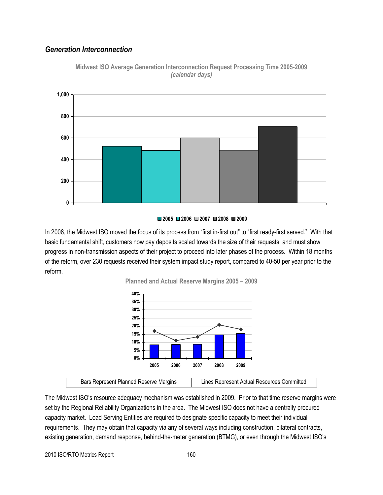## *Generation Interconnection*



**Midwest ISO Average Generation Interconnection Request Processing Time 2005-2009** *(calendar days)*



In 2008, the Midwest ISO moved the focus of its process from "first in-first out" to "first ready-first served." With that basic fundamental shift, customers now pay deposits scaled towards the size of their requests, and must show progress in non-transmission aspects of their project to proceed into later phases of the process. Within 18 months of the reform, over 230 requests received their system impact study report, compared to 40-50 per year prior to the reform.



The Midwest ISO's resource adequacy mechanism was established in 2009. Prior to that time reserve margins were set by the Regional Reliability Organizations in the area. The Midwest ISO does not have a centrally procured capacity market. Load Serving Entities are required to designate specific capacity to meet their individual requirements. They may obtain that capacity via any of several ways including construction, bilateral contracts, existing generation, demand response, behind-the-meter generation (BTMG), or even through the Midwest ISO's

2010 ISO/RTO Metrics Report 160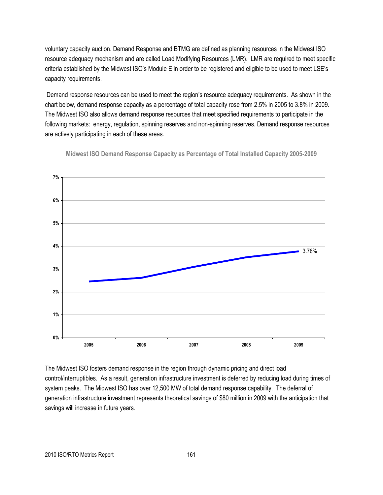voluntary capacity auction. Demand Response and BTMG are defined as planning resources in the Midwest ISO resource adequacy mechanism and are called Load Modifying Resources (LMR). LMR are required to meet specific criteria established by the Midwest ISO's Module E in order to be registered and eligible to be used to meet LSE's capacity requirements.

Demand response resources can be used to meet the region's resource adequacy requirements. As shown in the chart below, demand response capacity as a percentage of total capacity rose from 2.5% in 2005 to 3.8% in 2009. The Midwest ISO also allows demand response resources that meet specified requirements to participate in the following markets: energy, regulation, spinning reserves and non-spinning reserves. Demand response resources are actively participating in each of these areas.



**Midwest ISO Demand Response Capacity as Percentage of Total Installed Capacity 2005-2009**

The Midwest ISO fosters demand response in the region through dynamic pricing and direct load control/interruptibles. As a result, generation infrastructure investment is deferred by reducing load during times of system peaks. The Midwest ISO has over 12,500 MW of total demand response capability. The deferral of generation infrastructure investment represents theoretical savings of \$80 million in 2009 with the anticipation that savings will increase in future years.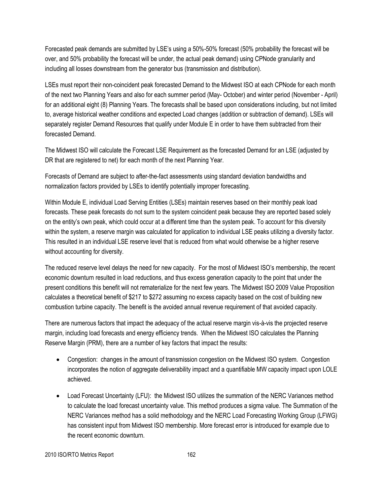Forecasted peak demands are submitted by LSE's using a 50%-50% forecast (50% probability the forecast will be over, and 50% probability the forecast will be under, the actual peak demand) using CPNode granularity and including all losses downstream from the generator bus (transmission and distribution).

LSEs must report their non-coincident peak forecasted Demand to the Midwest ISO at each CPNode for each month of the next two Planning Years and also for each summer period (May- October) and winter period (November - April) for an additional eight (8) Planning Years. The forecasts shall be based upon considerations including, but not limited to, average historical weather conditions and expected Load changes (addition or subtraction of demand). LSEs will separately register Demand Resources that qualify under Module E in order to have them subtracted from their forecasted Demand.

The Midwest ISO will calculate the Forecast LSE Requirement as the forecasted Demand for an LSE (adjusted by DR that are registered to net) for each month of the next Planning Year.

Forecasts of Demand are subject to after-the-fact assessments using standard deviation bandwidths and normalization factors provided by LSEs to identify potentially improper forecasting.

Within Module E, individual Load Serving Entities (LSEs) maintain reserves based on their monthly peak load forecasts. These peak forecasts do not sum to the system coincident peak because they are reported based solely on the entity's own peak, which could occur at a different time than the system peak. To account for this diversity within the system, a reserve margin was calculated for application to individual LSE peaks utilizing a diversity factor. This resulted in an individual LSE reserve level that is reduced from what would otherwise be a higher reserve without accounting for diversity.

The reduced reserve level delays the need for new capacity. For the most of Midwest ISO's membership, the recent economic downturn resulted in load reductions, and thus excess generation capacity to the point that under the present conditions this benefit will not rematerialize for the next few years. The Midwest ISO 2009 Value Proposition calculates a theoretical benefit of \$217 to \$272 assuming no excess capacity based on the cost of building new combustion turbine capacity. The benefit is the avoided annual revenue requirement of that avoided capacity.

There are numerous factors that impact the adequacy of the actual reserve margin vis-à-vis the projected reserve margin, including load forecasts and energy efficiency trends. When the Midwest ISO calculates the Planning Reserve Margin (PRM), there are a number of key factors that impact the results:

- Congestion: changes in the amount of transmission congestion on the Midwest ISO system. Congestion incorporates the notion of aggregate deliverability impact and a quantifiable MW capacity impact upon LOLE achieved.
- Load Forecast Uncertainty (LFU): the Midwest ISO utilizes the summation of the NERC Variances method to calculate the load forecast uncertainty value. This method produces a sigma value. The Summation of the NERC Variances method has a solid methodology and the NERC Load Forecasting Working Group (LFWG) has consistent input from Midwest ISO membership. More forecast error is introduced for example due to the recent economic downturn.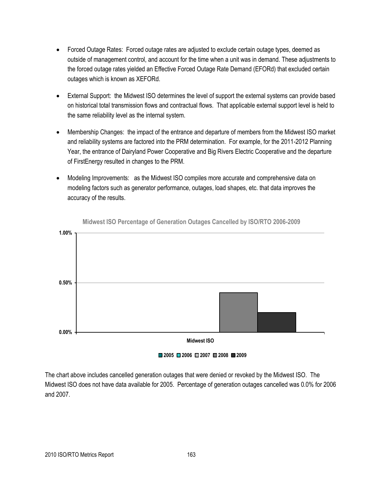- Forced Outage Rates: Forced outage rates are adjusted to exclude certain outage types, deemed as outside of management control, and account for the time when a unit was in demand. These adjustments to the forced outage rates yielded an Effective Forced Outage Rate Demand (EFORd) that excluded certain outages which is known as XEFORd.
- External Support: the Midwest ISO determines the level of support the external systems can provide based on historical total transmission flows and contractual flows. That applicable external support level is held to the same reliability level as the internal system.
- Membership Changes: the impact of the entrance and departure of members from the Midwest ISO market and reliability systems are factored into the PRM determination. For example, for the 2011-2012 Planning Year, the entrance of Dairyland Power Cooperative and Big Rivers Electric Cooperative and the departure of FirstEnergy resulted in changes to the PRM.
- Modeling Improvements: as the Midwest ISO compiles more accurate and comprehensive data on modeling factors such as generator performance, outages, load shapes, etc. that data improves the accuracy of the results.



**Midwest ISO Percentage of Generation Outages Cancelled by ISO/RTO 2006-2009**

The chart above includes cancelled generation outages that were denied or revoked by the Midwest ISO. The Midwest ISO does not have data available for 2005. Percentage of generation outages cancelled was 0.0% for 2006 and 2007.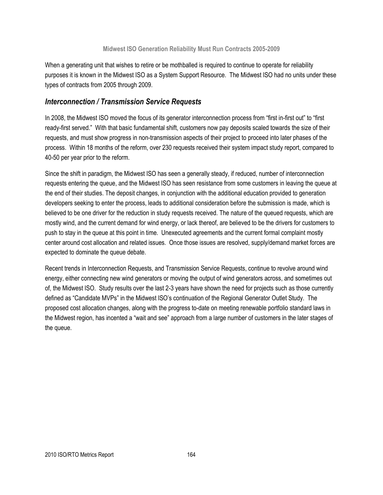When a generating unit that wishes to retire or be mothballed is required to continue to operate for reliability purposes it is known in the Midwest ISO as a System Support Resource. The Midwest ISO had no units under these types of contracts from 2005 through 2009.

## *Interconnection / Transmission Service Requests*

In 2008, the Midwest ISO moved the focus of its generator interconnection process from "first in-first out" to "first ready-first served.‖ With that basic fundamental shift, customers now pay deposits scaled towards the size of their requests, and must show progress in non-transmission aspects of their project to proceed into later phases of the process. Within 18 months of the reform, over 230 requests received their system impact study report, compared to 40-50 per year prior to the reform.

Since the shift in paradigm, the Midwest ISO has seen a generally steady, if reduced, number of interconnection requests entering the queue, and the Midwest ISO has seen resistance from some customers in leaving the queue at the end of their studies. The deposit changes, in conjunction with the additional education provided to generation developers seeking to enter the process, leads to additional consideration before the submission is made, which is believed to be one driver for the reduction in study requests received. The nature of the queued requests, which are mostly wind, and the current demand for wind energy, or lack thereof, are believed to be the drivers for customers to push to stay in the queue at this point in time. Unexecuted agreements and the current formal complaint mostly center around cost allocation and related issues. Once those issues are resolved, supply/demand market forces are expected to dominate the queue debate.

Recent trends in Interconnection Requests, and Transmission Service Requests, continue to revolve around wind energy, either connecting new wind generators or moving the output of wind generators across, and sometimes out of, the Midwest ISO. Study results over the last 2-3 years have shown the need for projects such as those currently defined as "Candidate MVPs" in the Midwest ISO's continuation of the Regional Generator Outlet Study. The proposed cost allocation changes, along with the progress to-date on meeting renewable portfolio standard laws in the Midwest region, has incented a "wait and see" approach from a large number of customers in the later stages of the queue.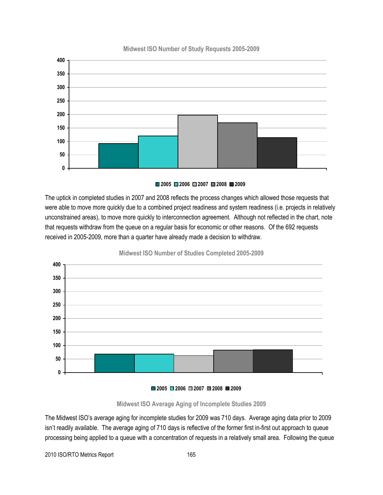

#### **Midwest ISO Number of Study Requests 2005-2009**

#### **2006 2007 2008 2009**

The uptick in completed studies in 2007 and 2008 reflects the process changes which allowed those requests that were able to move more quickly due to a combined project readiness and system readiness (i.e. projects in relatively unconstrained areas), to move more quickly to interconnection agreement. Although not reflected in the chart, note that requests withdraw from the queue on a regular basis for economic or other reasons. Of the 692 requests received in 2005-2009, more than a quarter have already made a decision to withdraw.



**Midwest ISO Number of Studies Completed 2005-2009**

## **2006 2007 2008 2009**

#### **Midwest ISO Average Aging of Incomplete Studies 2009**

The Midwest ISO's average aging for incomplete studies for 2009 was 710 days. Average aging data prior to 2009 isn't readily available. The average aging of 710 days is reflective of the former first in-first out approach to queue processing being applied to a queue with a concentration of requests in a relatively small area. Following the queue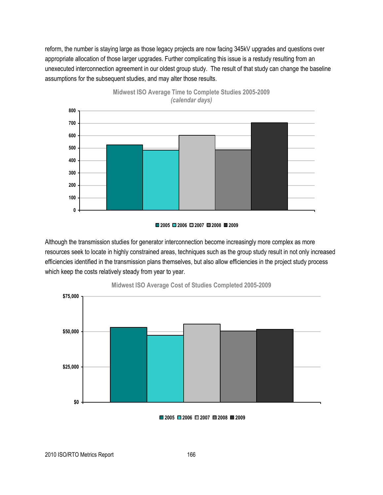reform, the number is staying large as those legacy projects are now facing 345kV upgrades and questions over appropriate allocation of those larger upgrades. Further complicating this issue is a restudy resulting from an unexecuted interconnection agreement in our oldest group study. The result of that study can change the baseline assumptions for the subsequent studies, and may alter those results.





Although the transmission studies for generator interconnection become increasingly more complex as more resources seek to locate in highly constrained areas, techniques such as the group study result in not only increased efficiencies identified in the transmission plans themselves, but also allow efficiencies in the project study process which keep the costs relatively steady from year to year.





**<sup>2005</sup> 2006 2007 2008 2009**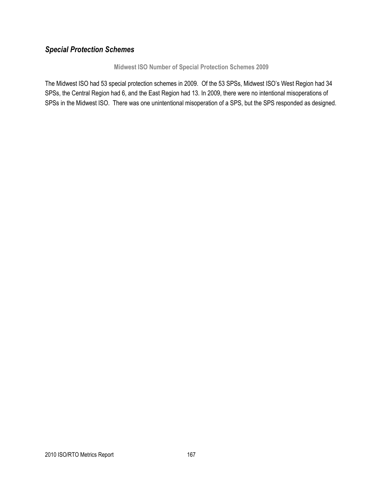## *Special Protection Schemes*

#### **Midwest ISO Number of Special Protection Schemes 2009**

The Midwest ISO had 53 special protection schemes in 2009. Of the 53 SPSs, Midwest ISO's West Region had 34 SPSs, the Central Region had 6, and the East Region had 13. In 2009, there were no intentional misoperations of SPSs in the Midwest ISO. There was one unintentional misoperation of a SPS, but the SPS responded as designed.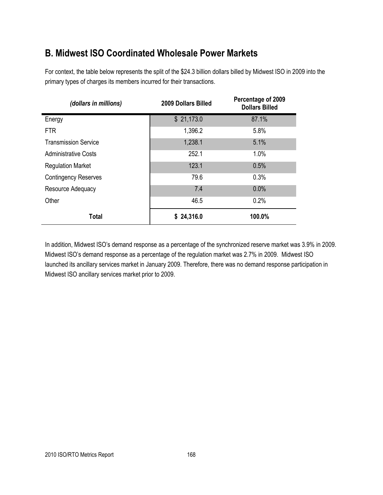## **B. Midwest ISO Coordinated Wholesale Power Markets**

| (dollars in millions)       | 2009 Dollars Billed | Percentage of 2009<br><b>Dollars Billed</b> |  |
|-----------------------------|---------------------|---------------------------------------------|--|
| Energy                      | \$21,173.0          | 87.1%                                       |  |
| <b>FTR</b>                  | 1,396.2             | 5.8%                                        |  |
| <b>Transmission Service</b> | 1,238.1             | 5.1%                                        |  |
| <b>Administrative Costs</b> | 252.1               | 1.0%                                        |  |
| <b>Regulation Market</b>    | 123.1               | 0.5%                                        |  |
| <b>Contingency Reserves</b> | 79.6                | 0.3%                                        |  |
| Resource Adequacy           | 7.4                 | 0.0%                                        |  |
| Other                       | 46.5                | 0.2%                                        |  |
| <b>Total</b>                | \$24,316.0          | 100.0%                                      |  |

For context, the table below represents the split of the \$24.3 billion dollars billed by Midwest ISO in 2009 into the primary types of charges its members incurred for their transactions.

In addition, Midwest ISO's demand response as a percentage of the synchronized reserve market was 3.9% in 2009. Midwest ISO's demand response as a percentage of the regulation market was 2.7% in 2009. Midwest ISO launched its ancillary services market in January 2009. Therefore, there was no demand response participation in Midwest ISO ancillary services market prior to 2009.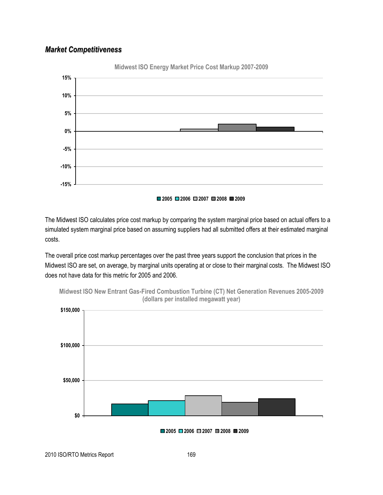## *Market Competitiveness*



**Midwest ISO Energy Market Price Cost Markup 2007-2009**

**2005 2006 2007 2008 2009**

The Midwest ISO calculates price cost markup by comparing the system marginal price based on actual offers to a simulated system marginal price based on assuming suppliers had all submitted offers at their estimated marginal costs.

The overall price cost markup percentages over the past three years support the conclusion that prices in the Midwest ISO are set, on average, by marginal units operating at or close to their marginal costs. The Midwest ISO does not have data for this metric for 2005 and 2006.



**Midwest ISO New Entrant Gas-Fired Combustion Turbine (CT) Net Generation Revenues 2005-2009 (dollars per installed megawatt year)**

**2005 2006 2007 2008 2009**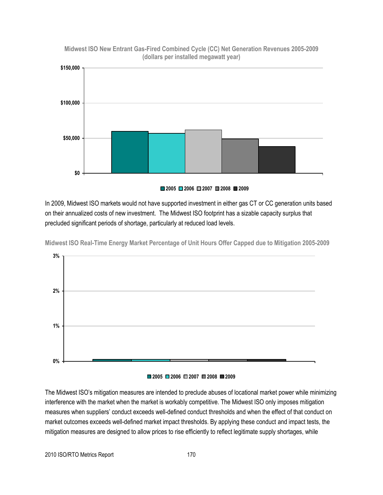

**Midwest ISO New Entrant Gas-Fired Combined Cycle (CC) Net Generation Revenues 2005-2009 (dollars per installed megawatt year)**

**2005 2006 2007 2008 2009**

In 2009, Midwest ISO markets would not have supported investment in either gas CT or CC generation units based on their annualized costs of new investment. The Midwest ISO footprint has a sizable capacity surplus that precluded significant periods of shortage, particularly at reduced load levels.



**Midwest ISO Real-Time Energy Market Percentage of Unit Hours Offer Capped due to Mitigation 2005-2009**

#### **2005 2006 2007 2008 2009**

The Midwest ISO's mitigation measures are intended to preclude abuses of locational market power while minimizing interference with the market when the market is workably competitive. The Midwest ISO only imposes mitigation measures when suppliers' conduct exceeds well-defined conduct thresholds and when the effect of that conduct on market outcomes exceeds well-defined market impact thresholds. By applying these conduct and impact tests, the mitigation measures are designed to allow prices to rise efficiently to reflect legitimate supply shortages, while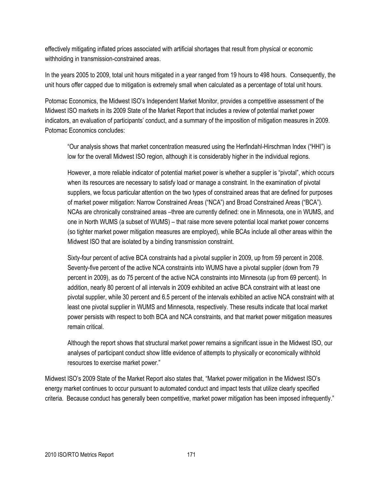effectively mitigating inflated prices associated with artificial shortages that result from physical or economic withholding in transmission-constrained areas.

In the years 2005 to 2009, total unit hours mitigated in a year ranged from 19 hours to 498 hours. Consequently, the unit hours offer capped due to mitigation is extremely small when calculated as a percentage of total unit hours.

Potomac Economics, the Midwest ISO's Independent Market Monitor, provides a competitive assessment of the Midwest ISO markets in its 2009 State of the Market Report that includes a review of potential market power indicators, an evaluation of participants' conduct, and a summary of the imposition of mitigation measures in 2009. Potomac Economics concludes:

"Our analysis shows that market concentration measured using the Herfindahl-Hirschman Index ("HHI") is low for the overall Midwest ISO region, although it is considerably higher in the individual regions.

However, a more reliable indicator of potential market power is whether a supplier is "pivotal", which occurs when its resources are necessary to satisfy load or manage a constraint. In the examination of pivotal suppliers, we focus particular attention on the two types of constrained areas that are defined for purposes of market power mitigation: Narrow Constrained Areas ("NCA") and Broad Constrained Areas ("BCA"). NCAs are chronically constrained areas –three are currently defined: one in Minnesota, one in WUMS, and one in North WUMS (a subset of WUMS) – that raise more severe potential local market power concerns (so tighter market power mitigation measures are employed), while BCAs include all other areas within the Midwest ISO that are isolated by a binding transmission constraint.

Sixty-four percent of active BCA constraints had a pivotal supplier in 2009, up from 59 percent in 2008. Seventy-five percent of the active NCA constraints into WUMS have a pivotal supplier (down from 79 percent in 2009), as do 75 percent of the active NCA constraints into Minnesota (up from 69 percent). In addition, nearly 80 percent of all intervals in 2009 exhibited an active BCA constraint with at least one pivotal supplier, while 30 percent and 6.5 percent of the intervals exhibited an active NCA constraint with at least one pivotal supplier in WUMS and Minnesota, respectively. These results indicate that local market power persists with respect to both BCA and NCA constraints, and that market power mitigation measures remain critical.

Although the report shows that structural market power remains a significant issue in the Midwest ISO, our analyses of participant conduct show little evidence of attempts to physically or economically withhold resources to exercise market power."

Midwest ISO's 2009 State of the Market Report also states that, "Market power mitigation in the Midwest ISO's energy market continues to occur pursuant to automated conduct and impact tests that utilize clearly specified criteria. Because conduct has generally been competitive, market power mitigation has been imposed infrequently."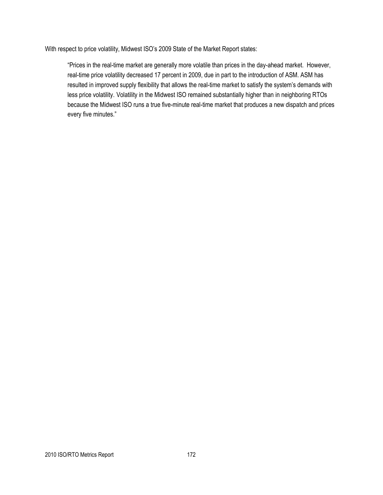With respect to price volatility, Midwest ISO's 2009 State of the Market Report states:

―Prices in the real-time market are generally more volatile than prices in the day-ahead market. However, real-time price volatility decreased 17 percent in 2009, due in part to the introduction of ASM. ASM has resulted in improved supply flexibility that allows the real-time market to satisfy the system's demands with less price volatility. Volatility in the Midwest ISO remained substantially higher than in neighboring RTOs because the Midwest ISO runs a true five-minute real-time market that produces a new dispatch and prices every five minutes."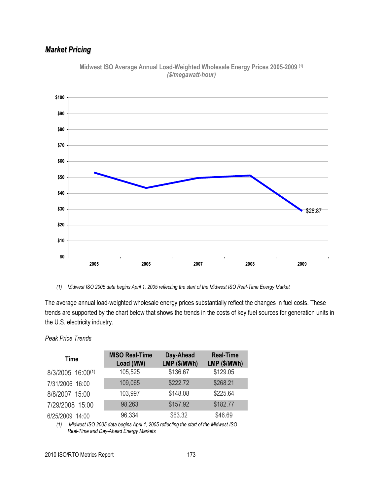## *Market Pricing*



**Midwest ISO Average Annual Load-Weighted Wholesale Energy Prices 2005-2009 (1)** *(\$/megawatt-hour)*

*(1) Midwest ISO 2005 data begins April 1, 2005 reflecting the start of the Midwest ISO Real-Time Energy Market*

The average annual load-weighted wholesale energy prices substantially reflect the changes in fuel costs. These trends are supported by the chart below that shows the trends in the costs of key fuel sources for generation units in the U.S. electricity industry.

### *Peak Price Trends*

| <b>Time</b>       | <b>MISO Real-Time</b><br>Load (MW) | Day-Ahead<br>LMP (\$/MWh) | <b>Real-Time</b><br>LMP (\$/MWh) |
|-------------------|------------------------------------|---------------------------|----------------------------------|
| 8/3/2005 16:00(1) | 105,525                            | \$136.67                  | \$129.05                         |
| 7/31/2006 16:00   | 109,065                            | \$222.72                  | \$268.21                         |
| 8/8/2007 15:00    | 103,997                            | \$148.08                  | \$225.64                         |
| 7/29/2008 15:00   | 98,263                             | \$157.92                  | \$182.77                         |
| 6/25/2009 14:00   | 96,334                             | \$63.32                   | \$46.69                          |

*(1) Midwest ISO 2005 data begins April 1, 2005 reflecting the start of the Midwest ISO Real-Time and Day-Ahead Energy Markets*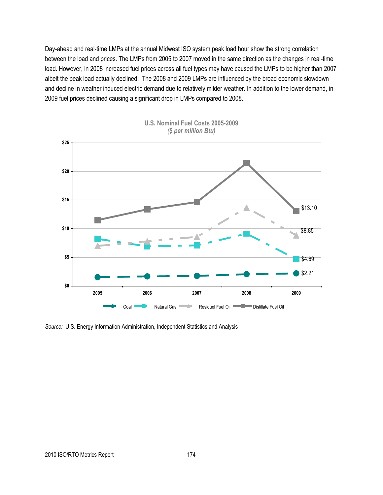Day-ahead and real-time LMPs at the annual Midwest ISO system peak load hour show the strong correlation between the load and prices. The LMPs from 2005 to 2007 moved in the same direction as the changes in real-time load. However, in 2008 increased fuel prices across all fuel types may have caused the LMPs to be higher than 2007 albeit the peak load actually declined. The 2008 and 2009 LMPs are influenced by the broad economic slowdown and decline in weather induced electric demand due to relatively milder weather. In addition to the lower demand, in 2009 fuel prices declined causing a significant drop in LMPs compared to 2008.



**U.S. Nominal Fuel Costs 2005-2009** *(\$ per million Btu)*

*Source:* U.S. Energy Information Administration, Independent Statistics and Analysis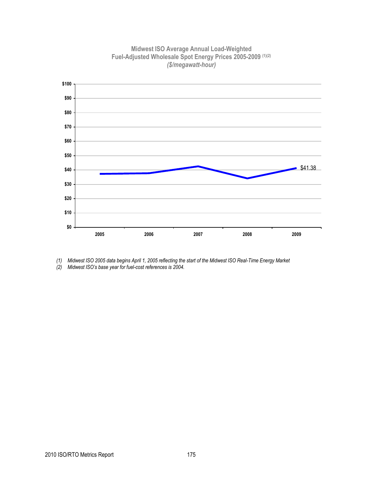

#### **Midwest ISO Average Annual Load-Weighted Fuel-Adjusted Wholesale Spot Energy Prices 2005-2009 (1)(2)** *(\$/megawatt-hour)*

*(1) Midwest ISO 2005 data begins April 1, 2005 reflecting the start of the Midwest ISO Real-Time Energy Market*

*(2) Midwest ISO"s base year for fuel-cost references is 2004.*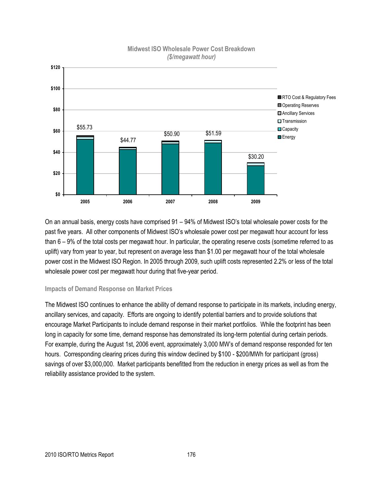

#### **Midwest ISO Wholesale Power Cost Breakdown** *(\$/megawatt hour)*

On an annual basis, energy costs have comprised 91 – 94% of Midwest ISO's total wholesale power costs for the past five years. All other components of Midwest ISO's wholesale power cost per megawatt hour account for less than 6 – 9% of the total costs per megawatt hour. In particular, the operating reserve costs (sometime referred to as uplift) vary from year to year, but represent on average less than \$1.00 per megawatt hour of the total wholesale power cost in the Midwest ISO Region. In 2005 through 2009, such uplift costs represented 2.2% or less of the total wholesale power cost per megawatt hour during that five-year period.

#### **Impacts of Demand Response on Market Prices**

The Midwest ISO continues to enhance the ability of demand response to participate in its markets, including energy, ancillary services, and capacity. Efforts are ongoing to identify potential barriers and to provide solutions that encourage Market Participants to include demand response in their market portfolios. While the footprint has been long in capacity for some time, demand response has demonstrated its long-term potential during certain periods. For example, during the August 1st, 2006 event, approximately 3,000 MW's of demand response responded for ten hours. Corresponding clearing prices during this window declined by \$100 - \$200/MWh for participant (gross) savings of over \$3,000,000. Market participants benefitted from the reduction in energy prices as well as from the reliability assistance provided to the system.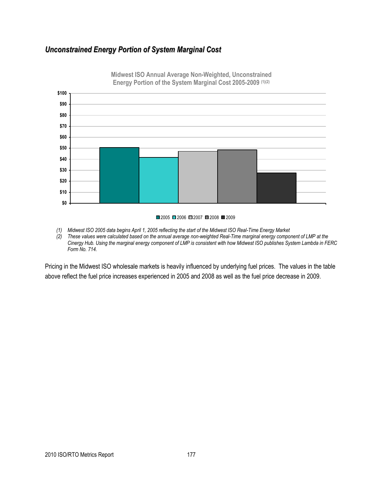## *Unconstrained Energy Portion of System Marginal Cost*



**Midwest ISO Annual Average Non-Weighted, Unconstrained Energy Portion of the System Marginal Cost 2005-2009 (1)(2)**



*(1) Midwest ISO 2005 data begins April 1, 2005 reflecting the start of the Midwest ISO Real-Time Energy Market*

*(2) These values were calculated based on the annual average non-weighted Real-Time marginal energy component of LMP at the Cinergy Hub. Using the marginal energy component of LMP is consistent with how Midwest ISO publishes System Lambda in FERC Form No. 714.*

Pricing in the Midwest ISO wholesale markets is heavily influenced by underlying fuel prices. The values in the table above reflect the fuel price increases experienced in 2005 and 2008 as well as the fuel price decrease in 2009.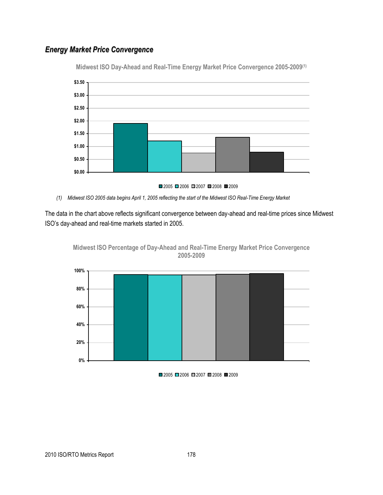## *Energy Market Price Convergence*

**Midwest ISO Day-Ahead and Real-Time Energy Market Price Convergence 2005-2009(1)**



■2005 ■2006 ■2007 ■2008 ■2009

*(1) Midwest ISO 2005 data begins April 1, 2005 reflecting the start of the Midwest ISO Real-Time Energy Market*

The data in the chart above reflects significant convergence between day-ahead and real-time prices since Midwest ISO's day-ahead and real-time markets started in 2005.



**Midwest ISO Percentage of Day-Ahead and Real-Time Energy Market Price Convergence 2005-2009**

#### ■2005 ■2006 ■2007 ■2008 ■2009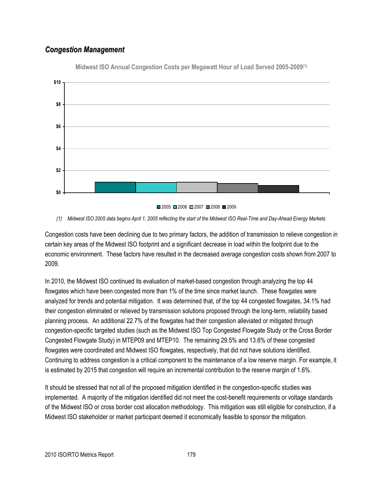## *Congestion Management*



**Midwest ISO Annual Congestion Costs per Megawatt Hour of Load Served 2005-2009(1)**

■2005 ■2006 ■2007 ■2008 ■2009

#### *(1) Midwest ISO 2005 data begins April 1, 2005 reflecting the start of the Midwest ISO Real-Time and Day-Ahead Energy Markets*

Congestion costs have been declining due to two primary factors, the addition of transmission to relieve congestion in certain key areas of the Midwest ISO footprint and a significant decrease in load within the footprint due to the economic environment. These factors have resulted in the decreased average congestion costs shown from 2007 to 2009.

In 2010, the Midwest ISO continued its evaluation of market-based congestion through analyzing the top 44 flowgates which have been congested more than 1% of the time since market launch. These flowgates were analyzed for trends and potential mitigation. It was determined that, of the top 44 congested flowgates, 34.1% had their congestion eliminated or relieved by transmission solutions proposed through the long-term, reliability based planning process. An additional 22.7% of the flowgates had their congestion alleviated or mitigated through congestion-specific targeted studies (such as the Midwest ISO Top Congested Flowgate Study or the Cross Border Congested Flowgate Study) in MTEP09 and MTEP10. The remaining 29.5% and 13.6% of these congested flowgates were coordinated and Midwest ISO flowgates, respectively, that did not have solutions identified. Continuing to address congestion is a critical component to the maintenance of a low reserve margin. For example, it is estimated by 2015 that congestion will require an incremental contribution to the reserve margin of 1.6%.

It should be stressed that not all of the proposed mitigation identified in the congestion-specific studies was implemented. A majority of the mitigation identified did not meet the cost-benefit requirements or voltage standards of the Midwest ISO or cross border cost allocation methodology. This mitigation was still eligible for construction, if a Midwest ISO stakeholder or market participant deemed it economically feasible to sponsor the mitigation.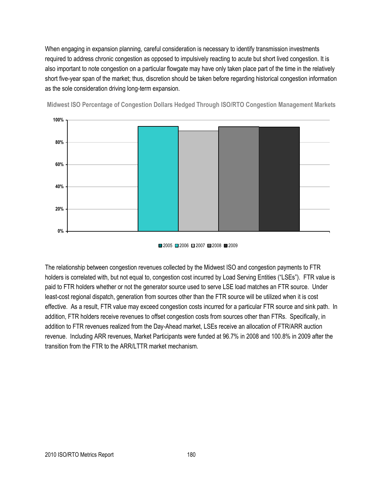When engaging in expansion planning, careful consideration is necessary to identify transmission investments required to address chronic congestion as opposed to impulsively reacting to acute but short lived congestion. It is also important to note congestion on a particular flowgate may have only taken place part of the time in the relatively short five-year span of the market; thus, discretion should be taken before regarding historical congestion information as the sole consideration driving long-term expansion.



**Midwest ISO Percentage of Congestion Dollars Hedged Through ISO/RTO Congestion Management Markets** 



The relationship between congestion revenues collected by the Midwest ISO and congestion payments to FTR holders is correlated with, but not equal to, congestion cost incurred by Load Serving Entities ("LSEs"). FTR value is paid to FTR holders whether or not the generator source used to serve LSE load matches an FTR source. Under least-cost regional dispatch, generation from sources other than the FTR source will be utilized when it is cost effective. As a result, FTR value may exceed congestion costs incurred for a particular FTR source and sink path. In addition, FTR holders receive revenues to offset congestion costs from sources other than FTRs. Specifically, in addition to FTR revenues realized from the Day-Ahead market, LSEs receive an allocation of FTR/ARR auction revenue. Including ARR revenues, Market Participants were funded at 96.7% in 2008 and 100.8% in 2009 after the transition from the FTR to the ARR/LTTR market mechanism.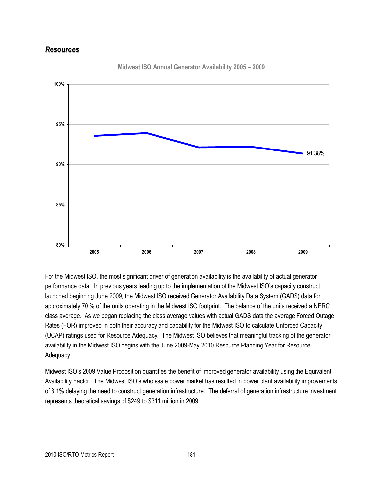### *Resources*



**Midwest ISO Annual Generator Availability 2005 – 2009**

For the Midwest ISO, the most significant driver of generation availability is the availability of actual generator performance data. In previous years leading up to the implementation of the Midwest ISO's capacity construct launched beginning June 2009, the Midwest ISO received Generator Availability Data System (GADS) data for approximately 70 % of the units operating in the Midwest ISO footprint. The balance of the units received a NERC class average. As we began replacing the class average values with actual GADS data the average Forced Outage Rates (FOR) improved in both their accuracy and capability for the Midwest ISO to calculate Unforced Capacity (UCAP) ratings used for Resource Adequacy. The Midwest ISO believes that meaningful tracking of the generator availability in the Midwest ISO begins with the June 2009-May 2010 Resource Planning Year for Resource Adequacy.

Midwest ISO's 2009 Value Proposition quantifies the benefit of improved generator availability using the Equivalent Availability Factor. The Midwest ISO's wholesale power market has resulted in power plant availability improvements of 3.1% delaying the need to construct generation infrastructure. The deferral of generation infrastructure investment represents theoretical savings of \$249 to \$311 million in 2009.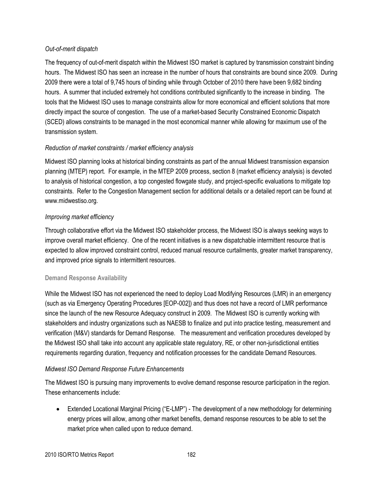### *Out-of-merit dispatch*

The frequency of out-of-merit dispatch within the Midwest ISO market is captured by transmission constraint binding hours. The Midwest ISO has seen an increase in the number of hours that constraints are bound since 2009. During 2009 there were a total of 9,745 hours of binding while through October of 2010 there have been 9,682 binding hours. A summer that included extremely hot conditions contributed significantly to the increase in binding. The tools that the Midwest ISO uses to manage constraints allow for more economical and efficient solutions that more directly impact the source of congestion. The use of a market-based Security Constrained Economic Dispatch (SCED) allows constraints to be managed in the most economical manner while allowing for maximum use of the transmission system.

## *Reduction of market constraints / market efficiency analysis*

Midwest ISO planning looks at historical binding constraints as part of the annual Midwest transmission expansion planning (MTEP) report. For example, in the MTEP 2009 process, section 8 (market efficiency analysis) is devoted to analysis of historical congestion, a top congested flowgate study, and project-specific evaluations to mitigate top constraints. Refer to the Congestion Management section for additional details or a detailed report can be found at www.midwestiso.org.

## *Improving market efficiency*

Through collaborative effort via the Midwest ISO stakeholder process, the Midwest ISO is always seeking ways to improve overall market efficiency. One of the recent initiatives is a new dispatchable intermittent resource that is expected to allow improved constraint control, reduced manual resource curtailments, greater market transparency, and improved price signals to intermittent resources.

## **Demand Response Availability**

While the Midwest ISO has not experienced the need to deploy Load Modifying Resources (LMR) in an emergency (such as via Emergency Operating Procedures [EOP-002]) and thus does not have a record of LMR performance since the launch of the new Resource Adequacy construct in 2009. The Midwest ISO is currently working with stakeholders and industry organizations such as NAESB to finalize and put into practice testing, measurement and verification (M&V) standards for Demand Response. The measurement and verification procedures developed by the Midwest ISO shall take into account any applicable state regulatory, RE, or other non-jurisdictional entities requirements regarding duration, frequency and notification processes for the candidate Demand Resources.

## *Midwest ISO Demand Response Future Enhancements*

The Midwest ISO is pursuing many improvements to evolve demand response resource participation in the region. These enhancements include:

• Extended Locational Marginal Pricing ("E-LMP") - The development of a new methodology for determining energy prices will allow, among other market benefits, demand response resources to be able to set the market price when called upon to reduce demand.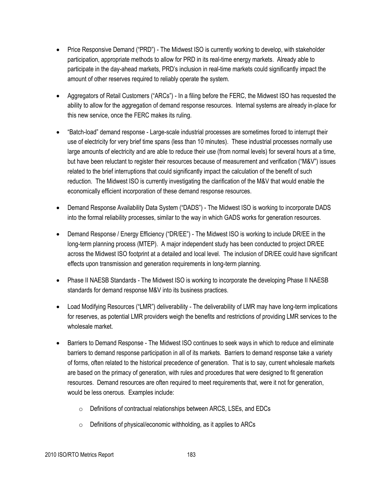- Price Responsive Demand ("PRD") The Midwest ISO is currently working to develop, with stakeholder participation, appropriate methods to allow for PRD in its real-time energy markets. Already able to participate in the day-ahead markets, PRD's inclusion in real-time markets could significantly impact the amount of other reserves required to reliably operate the system.
- Aggregators of Retail Customers ("ARCs") In a filing before the FERC, the Midwest ISO has requested the ability to allow for the aggregation of demand response resources. Internal systems are already in-place for this new service, once the FERC makes its ruling.
- "Batch-load" demand response Large-scale industrial processes are sometimes forced to interrupt their use of electricity for very brief time spans (less than 10 minutes). These industrial processes normally use large amounts of electricity and are able to reduce their use (from normal levels) for several hours at a time, but have been reluctant to register their resources because of measurement and verification ("M&V") issues related to the brief interruptions that could significantly impact the calculation of the benefit of such reduction. The Midwest ISO is currently investigating the clarification of the M&V that would enable the economically efficient incorporation of these demand response resources.
- Demand Response Availability Data System ("DADS") The Midwest ISO is working to incorporate DADS into the formal reliability processes, similar to the way in which GADS works for generation resources.
- Demand Response / Energy Efficiency ("DR/EE") The Midwest ISO is working to include DR/EE in the long-term planning process (MTEP). A major independent study has been conducted to project DR/EE across the Midwest ISO footprint at a detailed and local level. The inclusion of DR/EE could have significant effects upon transmission and generation requirements in long-term planning.
- Phase II NAESB Standards The Midwest ISO is working to incorporate the developing Phase II NAESB standards for demand response M&V into its business practices.
- Load Modifying Resources ("LMR") deliverability The deliverability of LMR may have long-term implications for reserves, as potential LMR providers weigh the benefits and restrictions of providing LMR services to the wholesale market.
- Barriers to Demand Response The Midwest ISO continues to seek ways in which to reduce and eliminate barriers to demand response participation in all of its markets. Barriers to demand response take a variety of forms, often related to the historical precedence of generation. That is to say, current wholesale markets are based on the primacy of generation, with rules and procedures that were designed to fit generation resources. Demand resources are often required to meet requirements that, were it not for generation, would be less onerous. Examples include:
	- o Definitions of contractual relationships between ARCS, LSEs, and EDCs
	- $\circ$  Definitions of physical/economic withholding, as it applies to ARCs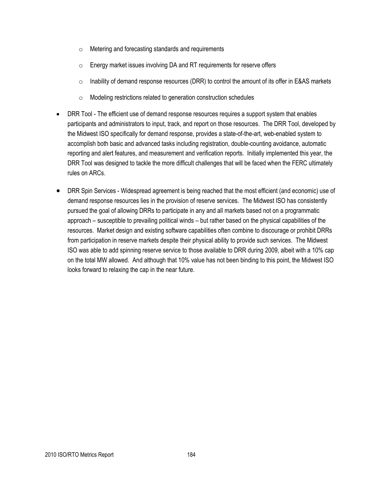- o Metering and forecasting standards and requirements
- o Energy market issues involving DA and RT requirements for reserve offers
- $\circ$  Inability of demand response resources (DRR) to control the amount of its offer in E&AS markets
- o Modeling restrictions related to generation construction schedules
- DRR Tool The efficient use of demand response resources requires a support system that enables participants and administrators to input, track, and report on those resources. The DRR Tool, developed by the Midwest ISO specifically for demand response, provides a state-of-the-art, web-enabled system to accomplish both basic and advanced tasks including registration, double-counting avoidance, automatic reporting and alert features, and measurement and verification reports. Initially implemented this year, the DRR Tool was designed to tackle the more difficult challenges that will be faced when the FERC ultimately rules on ARCs.
- DRR Spin Services Widespread agreement is being reached that the most efficient (and economic) use of demand response resources lies in the provision of reserve services. The Midwest ISO has consistently pursued the goal of allowing DRRs to participate in any and all markets based not on a programmatic approach – susceptible to prevailing political winds – but rather based on the physical capabilities of the resources. Market design and existing software capabilities often combine to discourage or prohibit DRRs from participation in reserve markets despite their physical ability to provide such services. The Midwest ISO was able to add spinning reserve service to those available to DRR during 2009, albeit with a 10% cap on the total MW allowed. And although that 10% value has not been binding to this point, the Midwest ISO looks forward to relaxing the cap in the near future.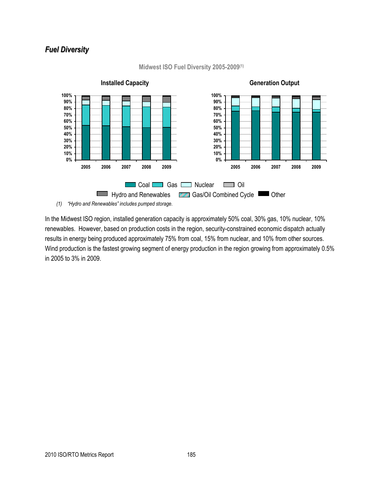## *Fuel Diversity*



**Midwest ISO Fuel Diversity 2005-2009(1)**

In the Midwest ISO region, installed generation capacity is approximately 50% coal, 30% gas, 10% nuclear, 10% renewables. However, based on production costs in the region, security-constrained economic dispatch actually results in energy being produced approximately 75% from coal, 15% from nuclear, and 10% from other sources. Wind production is the fastest growing segment of energy production in the region growing from approximately 0.5% in 2005 to 3% in 2009.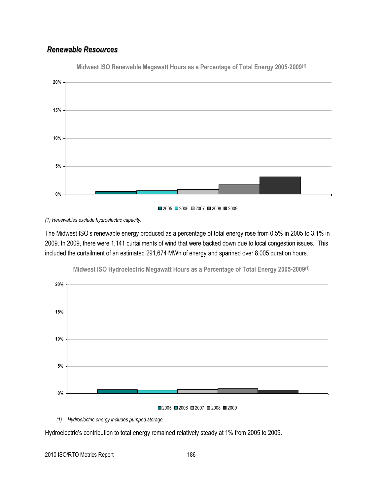## *Renewable Resources*



**Midwest ISO Renewable Megawatt Hours as a Percentage of Total Energy 2005-2009(1)**

■2005 ■2006 ■2007 ■2008 ■2009

*(1) Renewables exclude hydroelectric capacity.*

The Midwest ISO's renewable energy produced as a percentage of total energy rose from 0.5% in 2005 to 3.1% in 2009. In 2009, there were 1,141 curtailments of wind that were backed down due to local congestion issues. This included the curtailment of an estimated 291,674 MWh of energy and spanned over 8,005 duration hours.



**Midwest ISO Hydroelectric Megawatt Hours as a Percentage of Total Energy 2005-2009(1)**

#### ■2005 ■2006 ■2007 ■2008 ■2009

*(1) Hydroelectric energy includes pumped storage.*

Hydroelectric's contribution to total energy remained relatively steady at 1% from 2005 to 2009.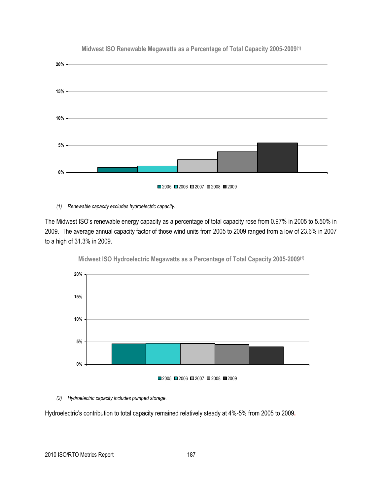

#### **Midwest ISO Renewable Megawatts as a Percentage of Total Capacity 2005-2009(1)**



#### *(1) Renewable capacity excludes hydroelectric capacity.*

The Midwest ISO's renewable energy capacity as a percentage of total capacity rose from 0.97% in 2005 to 5.50% in 2009. The average annual capacity factor of those wind units from 2005 to 2009 ranged from a low of 23.6% in 2007 to a high of 31.3% in 2009.



**Midwest ISO Hydroelectric Megawatts as a Percentage of Total Capacity 2005-2009(1)**

#### ■2005 ■2006 ■2007 ■2008 ■2009

*(2) Hydroelectric capacity includes pumped storage.*

Hydroelectric's contribution to total capacity remained relatively steady at 4%-5% from 2005 to 2009**.**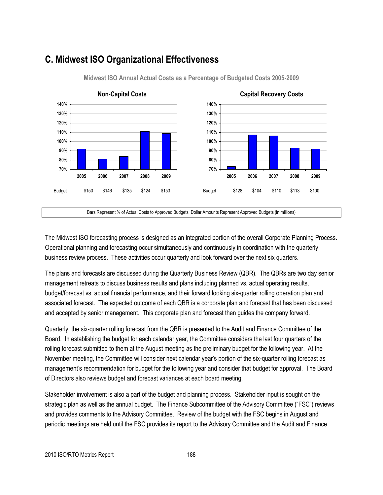

## **C. Midwest ISO Organizational Effectiveness**

**Midwest ISO Annual Actual Costs as a Percentage of Budgeted Costs 2005-2009**

The Midwest ISO forecasting process is designed as an integrated portion of the overall Corporate Planning Process. Operational planning and forecasting occur simultaneously and continuously in coordination with the quarterly business review process. These activities occur quarterly and look forward over the next six quarters.

The plans and forecasts are discussed during the Quarterly Business Review (QBR). The QBRs are two day senior management retreats to discuss business results and plans including planned vs. actual operating results, budget/forecast vs. actual financial performance, and their forward looking six-quarter rolling operation plan and associated forecast. The expected outcome of each QBR is a corporate plan and forecast that has been discussed and accepted by senior management. This corporate plan and forecast then guides the company forward.

Quarterly, the six-quarter rolling forecast from the QBR is presented to the Audit and Finance Committee of the Board. In establishing the budget for each calendar year, the Committee considers the last four quarters of the rolling forecast submitted to them at the August meeting as the preliminary budget for the following year. At the November meeting, the Committee will consider next calendar year's portion of the six-quarter rolling forecast as management's recommendation for budget for the following year and consider that budget for approval. The Board of Directors also reviews budget and forecast variances at each board meeting.

Stakeholder involvement is also a part of the budget and planning process. Stakeholder input is sought on the strategic plan as well as the annual budget. The Finance Subcommittee of the Advisory Committee ("FSC") reviews and provides comments to the Advisory Committee. Review of the budget with the FSC begins in August and periodic meetings are held until the FSC provides its report to the Advisory Committee and the Audit and Finance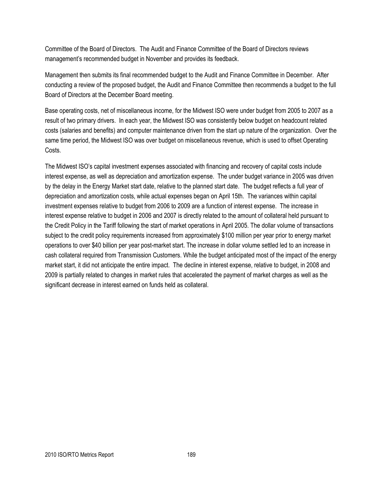Committee of the Board of Directors. The Audit and Finance Committee of the Board of Directors reviews management's recommended budget in November and provides its feedback.

Management then submits its final recommended budget to the Audit and Finance Committee in December. After conducting a review of the proposed budget, the Audit and Finance Committee then recommends a budget to the full Board of Directors at the December Board meeting.

Base operating costs, net of miscellaneous income, for the Midwest ISO were under budget from 2005 to 2007 as a result of two primary drivers. In each year, the Midwest ISO was consistently below budget on headcount related costs (salaries and benefits) and computer maintenance driven from the start up nature of the organization. Over the same time period, the Midwest ISO was over budget on miscellaneous revenue, which is used to offset Operating Costs.

The Midwest ISO's capital investment expenses associated with financing and recovery of capital costs include interest expense, as well as depreciation and amortization expense. The under budget variance in 2005 was driven by the delay in the Energy Market start date, relative to the planned start date. The budget reflects a full year of depreciation and amortization costs, while actual expenses began on April 15th. The variances within capital investment expenses relative to budget from 2006 to 2009 are a function of interest expense. The increase in interest expense relative to budget in 2006 and 2007 is directly related to the amount of collateral held pursuant to the Credit Policy in the Tariff following the start of market operations in April 2005. The dollar volume of transactions subject to the credit policy requirements increased from approximately \$100 million per year prior to energy market operations to over \$40 billion per year post-market start. The increase in dollar volume settled led to an increase in cash collateral required from Transmission Customers. While the budget anticipated most of the impact of the energy market start, it did not anticipate the entire impact. The decline in interest expense, relative to budget, in 2008 and 2009 is partially related to changes in market rules that accelerated the payment of market charges as well as the significant decrease in interest earned on funds held as collateral.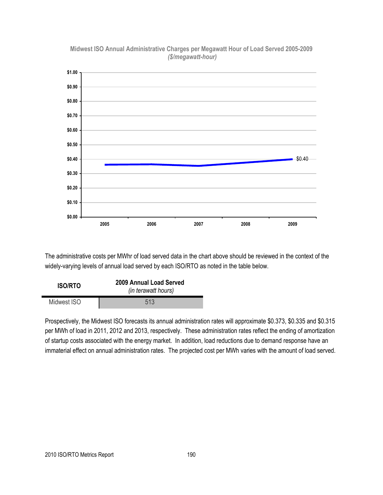

**Midwest ISO Annual Administrative Charges per Megawatt Hour of Load Served 2005-2009** *(\$/megawatt-hour)*

The administrative costs per MWhr of load served data in the chart above should be reviewed in the context of the widely-varying levels of annual load served by each ISO/RTO as noted in the table below.

| <b>ISO/RTO</b> | 2009 Annual Load Served<br>(in terawatt hours) |  |
|----------------|------------------------------------------------|--|
| Midwest ISO    | 513                                            |  |

Prospectively, the Midwest ISO forecasts its annual administration rates will approximate \$0.373, \$0.335 and \$0.315 per MWh of load in 2011, 2012 and 2013, respectively. These administration rates reflect the ending of amortization of startup costs associated with the energy market. In addition, load reductions due to demand response have an immaterial effect on annual administration rates. The projected cost per MWh varies with the amount of load served.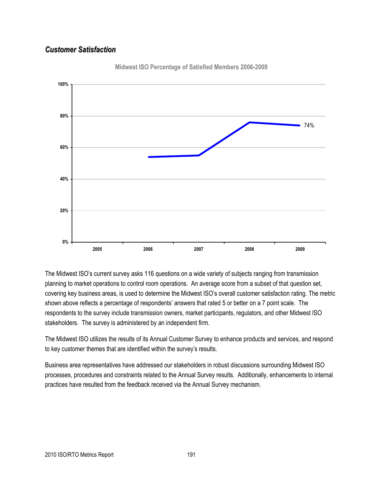## *Customer Satisfaction*



**Midwest ISO Percentage of Satisfied Members 2006-2009**

The Midwest ISO's current survey asks 116 questions on a wide variety of subjects ranging from transmission planning to market operations to control room operations. An average score from a subset of that question set, covering key business areas, is used to determine the Midwest ISO's overall customer satisfaction rating. The metric shown above reflects a percentage of respondents' answers that rated 5 or better on a 7 point scale. The respondents to the survey include transmission owners, market participants, regulators, and other Midwest ISO stakeholders. The survey is administered by an independent firm.

The Midwest ISO utilizes the results of its Annual Customer Survey to enhance products and services, and respond to key customer themes that are identified within the survey's results.

Business area representatives have addressed our stakeholders in robust discussions surrounding Midwest ISO processes, procedures and constraints related to the Annual Survey results. Additionally, enhancements to internal practices have resulted from the feedback received via the Annual Survey mechanism.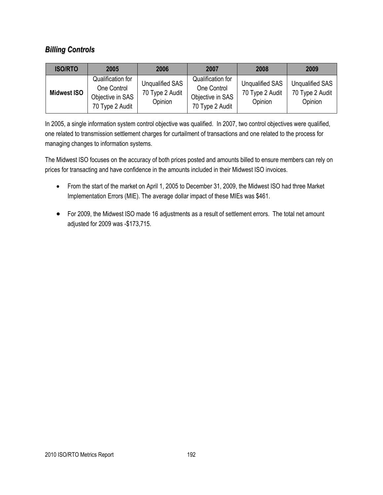## *Billing Controls*

| <b>ISO/RTO</b> | 2005                                                                    | 2006                                          | 2007                                                                    | 2008                                                 | 2009                                                 |
|----------------|-------------------------------------------------------------------------|-----------------------------------------------|-------------------------------------------------------------------------|------------------------------------------------------|------------------------------------------------------|
| Midwest ISO    | Qualification for<br>One Control<br>Objective in SAS<br>70 Type 2 Audit | Unqualified SAS<br>70 Type 2 Audit<br>Opinion | Qualification for<br>One Control<br>Objective in SAS<br>70 Type 2 Audit | <b>Unqualified SAS</b><br>70 Type 2 Audit<br>Opinion | <b>Unqualified SAS</b><br>70 Type 2 Audit<br>Opinion |

In 2005, a single information system control objective was qualified. In 2007, two control objectives were qualified, one related to transmission settlement charges for curtailment of transactions and one related to the process for managing changes to information systems.

The Midwest ISO focuses on the accuracy of both prices posted and amounts billed to ensure members can rely on prices for transacting and have confidence in the amounts included in their Midwest ISO invoices.

- From the start of the market on April 1, 2005 to December 31, 2009, the Midwest ISO had three Market Implementation Errors (MIE). The average dollar impact of these MIEs was \$461.
- For 2009, the Midwest ISO made 16 adjustments as a result of settlement errors. The total net amount adjusted for 2009 was -\$173,715.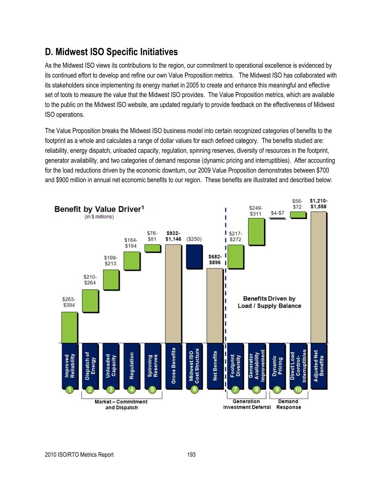## **D. Midwest ISO Specific Initiatives**

As the Midwest ISO views its contributions to the region, our commitment to operational excellence is evidenced by its continued effort to develop and refine our own Value Proposition metrics. The Midwest ISO has collaborated with its stakeholders since implementing its energy market in 2005 to create and enhance this meaningful and effective set of tools to measure the value that the Midwest ISO provides. The Value Proposition metrics, which are available to the public on the Midwest ISO website, are updated regularly to provide feedback on the effectiveness of Midwest ISO operations.

The Value Proposition breaks the Midwest ISO business model into certain recognized categories of benefits to the footprint as a whole and calculates a range of dollar values for each defined category. The benefits studied are: reliability, energy dispatch, unloaded capacity, regulation, spinning reserves, diversity of resources in the footprint, generator availability, and two categories of demand response (dynamic pricing and interruptibles). After accounting for the load reductions driven by the economic downturn, our 2009 Value Proposition demonstrates between \$700 and \$900 million in annual net economic benefits to our region. These benefits are illustrated and described below:

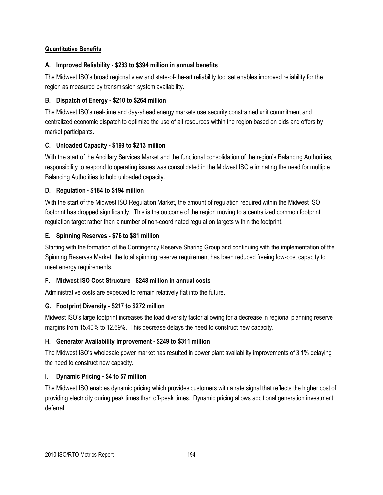## **Quantitative Benefits**

## **A. Improved Reliability - \$263 to \$394 million in annual benefits**

The Midwest ISO's broad regional view and state-of-the-art reliability tool set enables improved reliability for the region as measured by transmission system availability.

## **B. Dispatch of Energy - \$210 to \$264 million**

The Midwest ISO's real-time and day-ahead energy markets use security constrained unit commitment and centralized economic dispatch to optimize the use of all resources within the region based on bids and offers by market participants.

## **C. Unloaded Capacity - \$199 to \$213 million**

With the start of the Ancillary Services Market and the functional consolidation of the region's Balancing Authorities, responsibility to respond to operating issues was consolidated in the Midwest ISO eliminating the need for multiple Balancing Authorities to hold unloaded capacity.

## **D. Regulation - \$184 to \$194 million**

With the start of the Midwest ISO Regulation Market, the amount of regulation required within the Midwest ISO footprint has dropped significantly. This is the outcome of the region moving to a centralized common footprint regulation target rather than a number of non-coordinated regulation targets within the footprint.

## **E. Spinning Reserves - \$76 to \$81 million**

Starting with the formation of the Contingency Reserve Sharing Group and continuing with the implementation of the Spinning Reserves Market, the total spinning reserve requirement has been reduced freeing low-cost capacity to meet energy requirements.

### **F. Midwest ISO Cost Structure - \$248 million in annual costs**

Administrative costs are expected to remain relatively flat into the future.

## **G. Footprint Diversity - \$217 to \$272 million**

Midwest ISO's large footprint increases the load diversity factor allowing for a decrease in regional planning reserve margins from 15.40% to 12.69%. This decrease delays the need to construct new capacity.

### **H. Generator Availability Improvement - \$249 to \$311 million**

The Midwest ISO's wholesale power market has resulted in power plant availability improvements of 3.1% delaying the need to construct new capacity.

## **I. Dynamic Pricing - \$4 to \$7 million**

The Midwest ISO enables dynamic pricing which provides customers with a rate signal that reflects the higher cost of providing electricity during peak times than off-peak times. Dynamic pricing allows additional generation investment deferral.